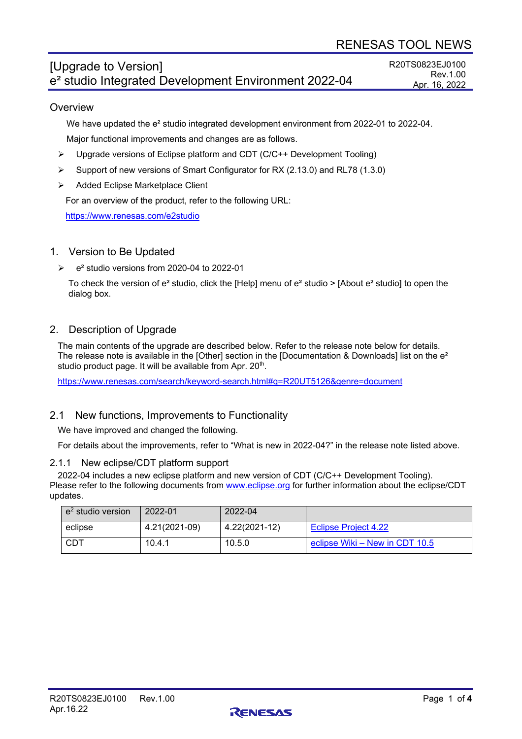# [Upgrade to Version] e² studio Integrated Development Environment 2022-04

R20TS0823EJ0100 Rev.1.00 Apr. 16, 2022

## **Overview**

We have updated the e<sup>2</sup> studio integrated development environment from 2022-01 to 2022-04.

Major functional improvements and changes are as follows.

- $\triangleright$  Upgrade versions of Eclipse platform and CDT (C/C++ Development Tooling)
- Support of new versions of Smart Configurator for RX (2.13.0) and RL78 (1.3.0)
- > Added Eclipse Marketplace Client

For an overview of the product, refer to the following URL:

<https://www.renesas.com/e2studio>

## 1. Version to Be Updated

 $\geq$  e<sup>2</sup> studio versions from 2020-04 to 2022-01

To check the version of  $e^2$  studio, click the [Help] menu of  $e^2$  studio > [About  $e^2$  studio] to open the dialog box.

## 2. Description of Upgrade

The main contents of the upgrade are described below. Refer to the release note below for details. The release note is available in the [Other] section in the [Documentation & Downloads] list on the  $e^2$ studio product page. It will be available from Apr. 20<sup>th</sup>.

<https://www.renesas.com/search/keyword-search.html#q=R20UT5126&genre=document>

## 2.1 New functions, Improvements to Functionality

We have improved and changed the following.

For details about the improvements, refer to "What is new in 2022-04?" in the release note listed above.

### 2.1.1 New eclipse/CDT platform support

2022-04 includes a new eclipse platform and new version of CDT (C/C++ Development Tooling). Please refer to the following documents from [www.eclipse.org](http://www.eclipse.org/) for further information about the eclipse/CDT updates.

| $e2$ studio version | 2022-01       | 2022-04       |                                |
|---------------------|---------------|---------------|--------------------------------|
| eclipse             | 4.21(2021-09) | 4.22(2021-12) | Eclipse Project 4.22           |
| <b>CDT</b>          | 10.4.1        | 10.5.0        | eclipse Wiki – New in CDT 10.5 |

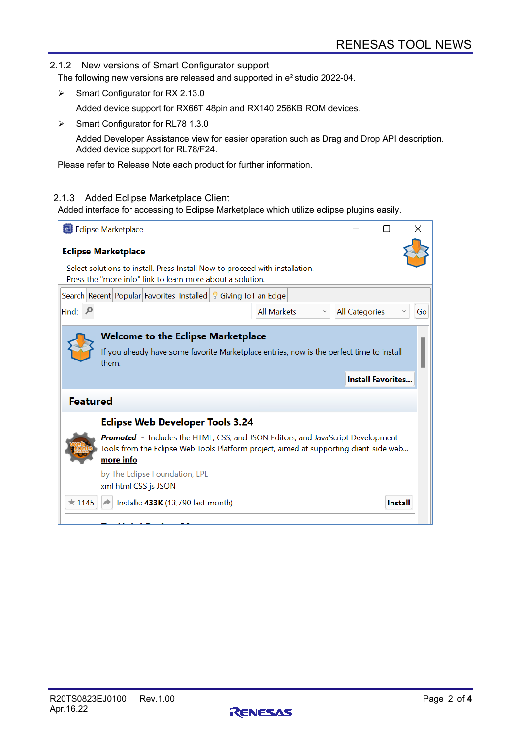#### 2.1.2 New versions of Smart Configurator support

The following new versions are released and supported in e² studio 2022-04.

 $\triangleright$  Smart Configurator for RX 2.13.0

Added device support for RX66T 48pin and RX140 256KB ROM devices.

Smart Configurator for RL78 1.3.0

Added Developer Assistance view for easier operation such as Drag and Drop API description. Added device support for RL78/F24.

Please refer to Release Note each product for further information.

#### 2.1.3 Added Eclipse Marketplace Client

Added interface for accessing to Eclipse Marketplace which utilize eclipse plugins easily.

| <b>Edipse Marketplace</b>                                                                                                                                                                     |                       |                |    |  |  |  |  |
|-----------------------------------------------------------------------------------------------------------------------------------------------------------------------------------------------|-----------------------|----------------|----|--|--|--|--|
| <b>Eclipse Marketplace</b>                                                                                                                                                                    |                       |                |    |  |  |  |  |
| Select solutions to install. Press Install Now to proceed with installation.<br>Press the "more info" link to learn more about a solution.                                                    |                       |                |    |  |  |  |  |
| Search Recent Popular Favorites Installed   8 Giving IoT an Edge                                                                                                                              |                       |                |    |  |  |  |  |
| Find:<br><b>All Markets</b>                                                                                                                                                                   | <b>All Categories</b> |                | Go |  |  |  |  |
| <b>Welcome to the Eclipse Marketplace</b><br>If you already have some favorite Marketplace entries, now is the perfect time to install<br>them.<br><b>Install Favorites</b>                   |                       |                |    |  |  |  |  |
| <b>Featured</b>                                                                                                                                                                               |                       |                |    |  |  |  |  |
| <b>Eclipse Web Developer Tools 3.24</b>                                                                                                                                                       |                       |                |    |  |  |  |  |
| <b>Promoted</b> - Includes the HTML, CSS, and JSON Editors, and JavaScript Development<br>Tools from the Eclipse Web Tools Platform project, aimed at supporting client-side web<br>more info |                       |                |    |  |  |  |  |
| by The Eclipse Foundation, EPL<br>xml html CSS js JSON                                                                                                                                        |                       |                |    |  |  |  |  |
| $\star$ 1145<br>Installs: 433K (13,790 last month)                                                                                                                                            |                       | <b>Install</b> |    |  |  |  |  |
|                                                                                                                                                                                               |                       |                |    |  |  |  |  |

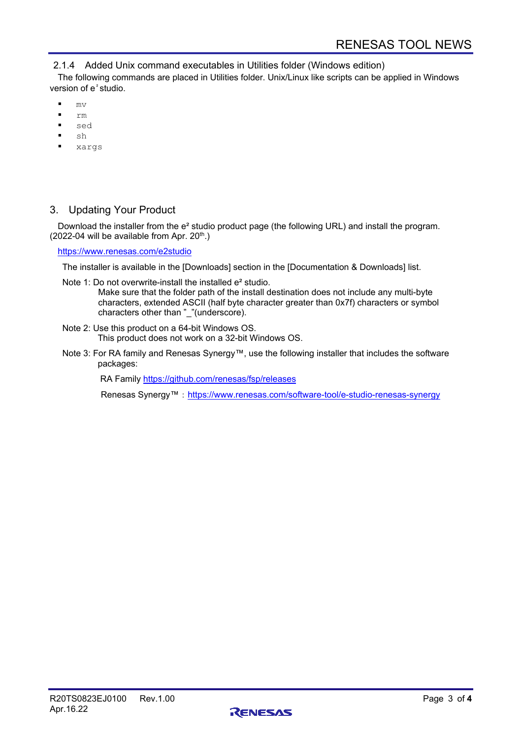2.1.4 Added Unix command executables in Utilities folder (Windows edition)

The following commands are placed in Utilities folder. Unix/Linux like scripts can be applied in Windows version of e²studio.

- $m\tau$
- rm
- sed
- sh
- xargs

## 3. Updating Your Product

Download the installer from the e² studio product page (the following URL) and install the program. (2022-04 will be available from Apr.  $20<sup>th</sup>$ .)

<https://www.renesas.com/e2studio>

The installer is available in the [Downloads] section in the [Documentation & Downloads] list.

Note 1: Do not overwrite-install the installed e<sup>2</sup> studio.

Make sure that the folder path of the install destination does not include any multi-byte characters, extended ASCII (half byte character greater than 0x7f) characters or symbol characters other than "\_"(underscore).

- Note 2: Use this product on a 64-bit Windows OS. This product does not work on a 32-bit Windows OS.
- Note 3: For RA family and Renesas Synergy™, use the following installer that includes the software packages:

RA Family<https://github.com/renesas/fsp/releases>

Renesas Synergy™: <https://www.renesas.com/software-tool/e-studio-renesas-synergy>